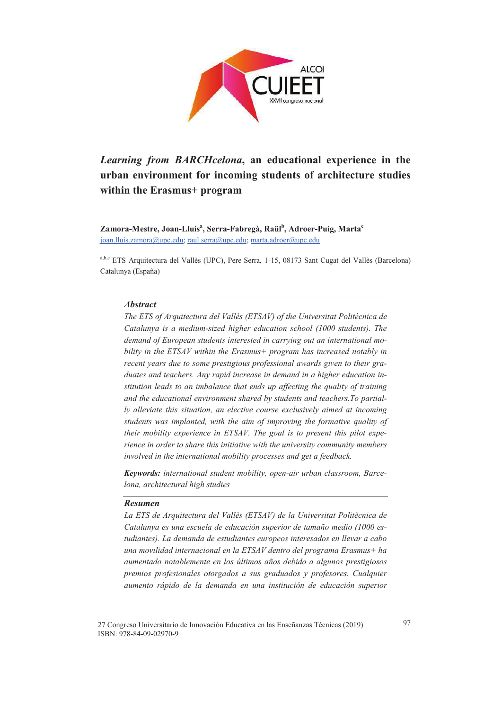

# *Learning from BARCHcelona***, an educational experience in the urban environment for incoming students of architecture studies within the Erasmus+ program**

 $\mathbf{Z}$ amora-Mestre, Joan-Lluís<sup>a</sup>, Serra-Fabregà, Raül<sup>b</sup>, Adroer-Puig, Marta<sup>c</sup> joan.lluis.zamora@upc.edu; raul.serra@upc.edu; marta.adroer@upc.edu

a,b,c ETS Arquitectura del Vallès (UPC), Pere Serra, 1-15, 08173 Sant Cugat del Vallès (Barcelona) Catalunya (España)

#### *Abstract*

*The ETS of Arquitectura del Vallès (ETSAV) of the Universitat Politècnica de Catalunya is a medium-sized higher education school (1000 students). The demand of European students interested in carrying out an international mobility in the ETSAV within the Erasmus+ program has increased notably in recent years due to some prestigious professional awards given to their graduates and teachers. Any rapid increase in demand in a higher education institution leads to an imbalance that ends up affecting the quality of training and the educational environment shared by students and teachers.To partially alleviate this situation, an elective course exclusively aimed at incoming students was implanted, with the aim of improving the formative quality of their mobility experience in ETSAV. The goal is to present this pilot experience in order to share this initiative with the university community members involved in the international mobility processes and get a feedback.*

*Keywords: international student mobility, open-air urban classroom, Barcelona, architectural high studies*

## *Resumen*

*La ETS de Arquitectura del Vallès (ETSAV) de la Universitat Politècnica de Catalunya es una escuela de educación superior de tamaño medio (1000 estudiantes). La demanda de estudiantes europeos interesados en llevar a cabo una movilidad internacional en la ETSAV dentro del programa Erasmus+ ha aumentado notablemente en los últimos años debido a algunos prestigiosos premios profesionales otorgados a sus graduados y profesores. Cualquier aumento rápido de la demanda en una institución de educación superior*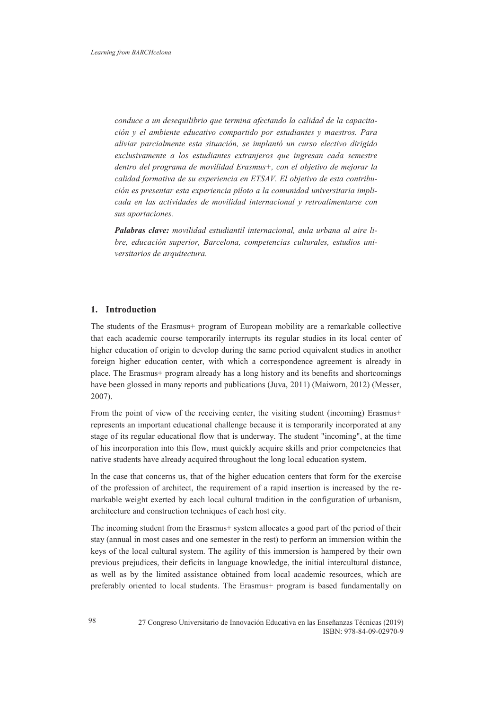*conduce a un desequilibrio que termina afectando la calidad de la capacitación y el ambiente educativo compartido por estudiantes y maestros. Para aliviar parcialmente esta situación, se implantó un curso electivo dirigido exclusivamente a los estudiantes extranjeros que ingresan cada semestre dentro del programa de movilidad Erasmus+, con el objetivo de mejorar la calidad formativa de su experiencia en ETSAV. El objetivo de esta contribución es presentar esta experiencia piloto a la comunidad universitaria implicada en las actividades de movilidad internacional y retroalimentarse con sus aportaciones.* 

*Palabras clave: movilidad estudiantil internacional, aula urbana al aire libre, educación superior, Barcelona, competencias culturales, estudios universitarios de arquitectura.*

## **1. Introduction**

The students of the Erasmus+ program of European mobility are a remarkable collective that each academic course temporarily interrupts its regular studies in its local center of higher education of origin to develop during the same period equivalent studies in another foreign higher education center, with which a correspondence agreement is already in place. The Erasmus+ program already has a long history and its benefits and shortcomings have been glossed in many reports and publications (Juva, 2011) (Maiworn, 2012) (Messer, 2007).

From the point of view of the receiving center, the visiting student (incoming) Erasmus+ represents an important educational challenge because it is temporarily incorporated at any stage of its regular educational flow that is underway. The student "incoming", at the time of his incorporation into this flow, must quickly acquire skills and prior competencies that native students have already acquired throughout the long local education system.

In the case that concerns us, that of the higher education centers that form for the exercise of the profession of architect, the requirement of a rapid insertion is increased by the remarkable weight exerted by each local cultural tradition in the configuration of urbanism, architecture and construction techniques of each host city.

The incoming student from the Erasmus+ system allocates a good part of the period of their stay (annual in most cases and one semester in the rest) to perform an immersion within the keys of the local cultural system. The agility of this immersion is hampered by their own previous prejudices, their deficits in language knowledge, the initial intercultural distance, as well as by the limited assistance obtained from local academic resources, which are preferably oriented to local students. The Erasmus+ program is based fundamentally on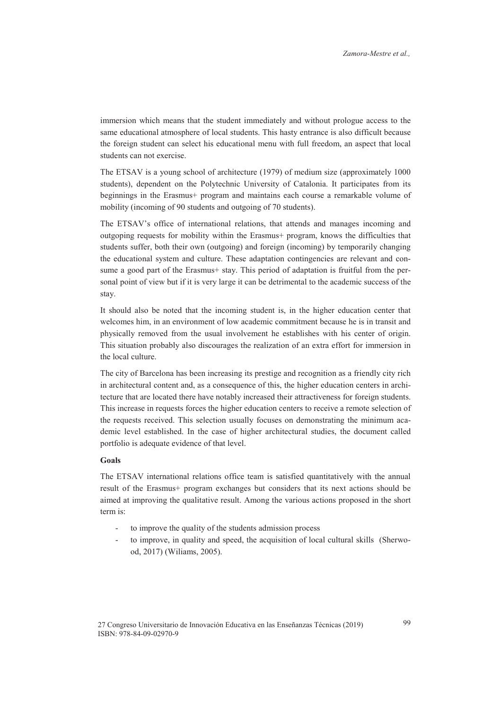immersion which means that the student immediately and without prologue access to the same educational atmosphere of local students. This hasty entrance is also difficult because the foreign student can select his educational menu with full freedom, an aspect that local students can not exercise.

The ETSAV is a young school of architecture (1979) of medium size (approximately 1000 students), dependent on the Polytechnic University of Catalonia. It participates from its beginnings in the Erasmus+ program and maintains each course a remarkable volume of mobility (incoming of 90 students and outgoing of 70 students).

The ETSAV's office of international relations, that attends and manages incoming and outgoping requests for mobility within the Erasmus+ program, knows the difficulties that students suffer, both their own (outgoing) and foreign (incoming) by temporarily changing the educational system and culture. These adaptation contingencies are relevant and consume a good part of the Erasmus+ stay. This period of adaptation is fruitful from the personal point of view but if it is very large it can be detrimental to the academic success of the stay.

It should also be noted that the incoming student is, in the higher education center that welcomes him, in an environment of low academic commitment because he is in transit and physically removed from the usual involvement he establishes with his center of origin. This situation probably also discourages the realization of an extra effort for immersion in the local culture.

The city of Barcelona has been increasing its prestige and recognition as a friendly city rich in architectural content and, as a consequence of this, the higher education centers in architecture that are located there have notably increased their attractiveness for foreign students. This increase in requests forces the higher education centers to receive a remote selection of the requests received. This selection usually focuses on demonstrating the minimum academic level established. In the case of higher architectural studies, the document called portfolio is adequate evidence of that level.

## **Goals**

The ETSAV international relations office team is satisfied quantitatively with the annual result of the Erasmus+ program exchanges but considers that its next actions should be aimed at improving the qualitative result. Among the various actions proposed in the short term is:

- to improve the quality of the students admission process
- to improve, in quality and speed, the acquisition of local cultural skills (Sherwood, 2017) (Wiliams, 2005).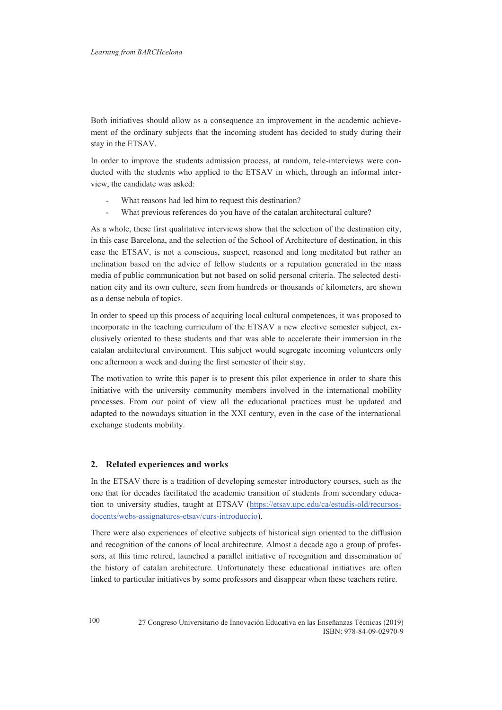Both initiatives should allow as a consequence an improvement in the academic achievement of the ordinary subjects that the incoming student has decided to study during their stay in the ETSAV.

In order to improve the students admission process, at random, tele-interviews were conducted with the students who applied to the ETSAV in which, through an informal interview, the candidate was asked:

- What reasons had led him to request this destination?
- What previous references do you have of the catalan architectural culture?

As a whole, these first qualitative interviews show that the selection of the destination city, in this case Barcelona, and the selection of the School of Architecture of destination, in this case the ETSAV, is not a conscious, suspect, reasoned and long meditated but rather an inclination based on the advice of fellow students or a reputation generated in the mass media of public communication but not based on solid personal criteria. The selected destination city and its own culture, seen from hundreds or thousands of kilometers, are shown as a dense nebula of topics.

In order to speed up this process of acquiring local cultural competences, it was proposed to incorporate in the teaching curriculum of the ETSAV a new elective semester subject, exclusively oriented to these students and that was able to accelerate their immersion in the catalan architectural environment. This subject would segregate incoming volunteers only one afternoon a week and during the first semester of their stay.

The motivation to write this paper is to present this pilot experience in order to share this initiative with the university community members involved in the international mobility processes. From our point of view all the educational practices must be updated and adapted to the nowadays situation in the XXI century, even in the case of the international exchange students mobility.

#### **2. Related experiences and works**

In the ETSAV there is a tradition of developing semester introductory courses, such as the one that for decades facilitated the academic transition of students from secondary education to university studies, taught at ETSAV (https://etsav.upc.edu/ca/estudis-old/recursosdocents/webs-assignatures-etsav/curs-introduccio).

There were also experiences of elective subjects of historical sign oriented to the diffusion and recognition of the canons of local architecture. Almost a decade ago a group of professors, at this time retired, launched a parallel initiative of recognition and dissemination of the history of catalan architecture. Unfortunately these educational initiatives are often linked to particular initiatives by some professors and disappear when these teachers retire.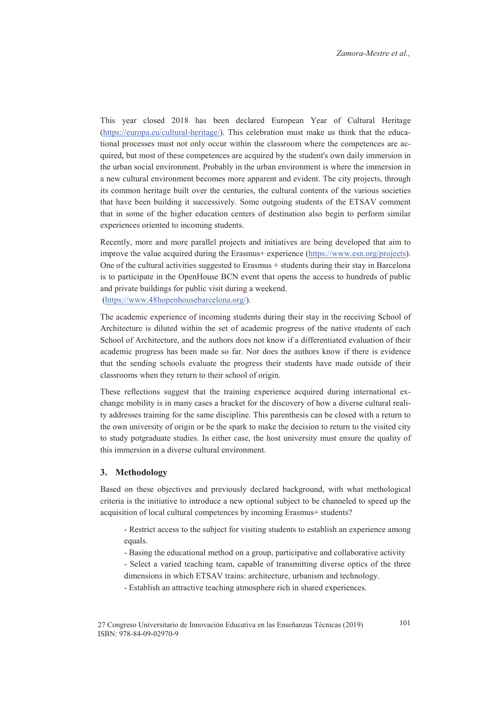This year closed 2018 has been declared European Year of Cultural Heritage (https://europa.eu/cultural-heritage/). This celebration must make us think that the educational processes must not only occur within the classroom where the competences are acquired, but most of these competences are acquired by the student's own daily immersion in the urban social environment. Probably in the urban environment is where the immersion in a new cultural environment becomes more apparent and evident. The city projects, through its common heritage built over the centuries, the cultural contents of the various societies that have been building it successively. Some outgoing students of the ETSAV comment that in some of the higher education centers of destination also begin to perform similar experiences oriented to incoming students.

Recently, more and more parallel projects and initiatives are being developed that aim to improve the value acquired during the Erasmus+ experience (https://www.esn.org/projects). One of the cultural activities suggested to Erasmus + students during their stay in Barcelona is to participate in the OpenHouse BCN event that opens the access to hundreds of public and private buildings for public visit during a weekend. (https://www.48hopenhousebarcelona.org/).

The academic experience of incoming students during their stay in the receiving School of Architecture is diluted within the set of academic progress of the native students of each School of Architecture, and the authors does not know if a differentiated evaluation of their academic progress has been made so far. Nor does the authors know if there is evidence that the sending schools evaluate the progress their students have made outside of their classrooms when they return to their school of origin.

These reflections suggest that the training experience acquired during international exchange mobility is in many cases a bracket for the discovery of how a diverse cultural reality addresses training for the same discipline. This parenthesis can be closed with a return to the own university of origin or be the spark to make the decision to return to the visited city to study potgraduate studies. In either case, the host university must ensure the quality of this immersion in a diverse cultural environment.

## **3. Methodology**

Based on these objectives and previously declared background, with what methological criteria is the initiative to introduce a new optional subject to be channeled to speed up the acquisition of local cultural competences by incoming Erasmus+ students?

- Restrict access to the subject for visiting students to establish an experience among equals.

- Basing the educational method on a group, participative and collaborative activity
- Select a varied teaching team, capable of transmitting diverse optics of the three dimensions in which ETSAV trains: architecture, urbanism and technology.
- Establish an attractive teaching atmosphere rich in shared experiences.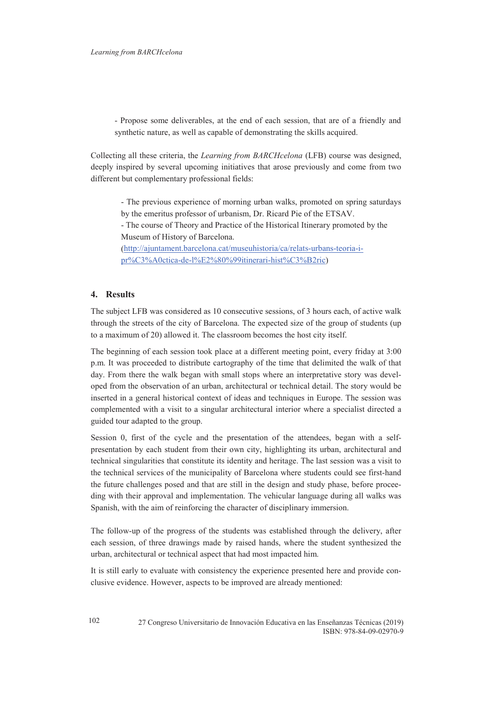- Propose some deliverables, at the end of each session, that are of a friendly and synthetic nature, as well as capable of demonstrating the skills acquired.

Collecting all these criteria, the *Learning from BARCHcelona* (LFB) course was designed, deeply inspired by several upcoming initiatives that arose previously and come from two different but complementary professional fields:

- The previous experience of morning urban walks, promoted on spring saturdays by the emeritus professor of urbanism, Dr. Ricard Pie of the ETSAV.

- The course of Theory and Practice of the Historical Itinerary promoted by the Museum of History of Barcelona.

(http://ajuntament.barcelona.cat/museuhistoria/ca/relats-urbans-teoria-ipr%C3%A0ctica-de-l%E2%80%99itinerari-hist%C3%B2ric)

# **4. Results**

The subject LFB was considered as 10 consecutive sessions, of 3 hours each, of active walk through the streets of the city of Barcelona. The expected size of the group of students (up to a maximum of 20) allowed it. The classroom becomes the host city itself.

The beginning of each session took place at a different meeting point, every friday at 3:00 p.m. It was proceeded to distribute cartography of the time that delimited the walk of that day. From there the walk began with small stops where an interpretative story was developed from the observation of an urban, architectural or technical detail. The story would be inserted in a general historical context of ideas and techniques in Europe. The session was complemented with a visit to a singular architectural interior where a specialist directed a guided tour adapted to the group.

Session 0, first of the cycle and the presentation of the attendees, began with a selfpresentation by each student from their own city, highlighting its urban, architectural and technical singularities that constitute its identity and heritage. The last session was a visit to the technical services of the municipality of Barcelona where students could see first-hand the future challenges posed and that are still in the design and study phase, before proceeding with their approval and implementation. The vehicular language during all walks was Spanish, with the aim of reinforcing the character of disciplinary immersion.

The follow-up of the progress of the students was established through the delivery, after each session, of three drawings made by raised hands, where the student synthesized the urban, architectural or technical aspect that had most impacted him.

It is still early to evaluate with consistency the experience presented here and provide conclusive evidence. However, aspects to be improved are already mentioned: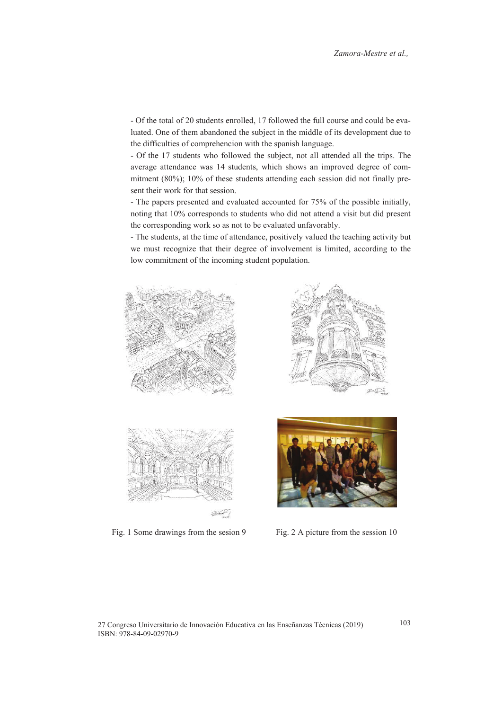- Of the total of 20 students enrolled, 17 followed the full course and could be evaluated. One of them abandoned the subject in the middle of its development due to the difficulties of comprehencion with the spanish language.

- Of the 17 students who followed the subject, not all attended all the trips. The average attendance was 14 students, which shows an improved degree of commitment (80%); 10% of these students attending each session did not finally present their work for that session.

- The papers presented and evaluated accounted for 75% of the possible initially, noting that 10% corresponds to students who did not attend a visit but did present the corresponding work so as not to be evaluated unfavorably.

- The students, at the time of attendance, positively valued the teaching activity but we must recognize that their degree of involvement is limited, according to the low commitment of the incoming student population.





Fig. 1 Some drawings from the sesion 9 Fig. 2 A picture from the session 10